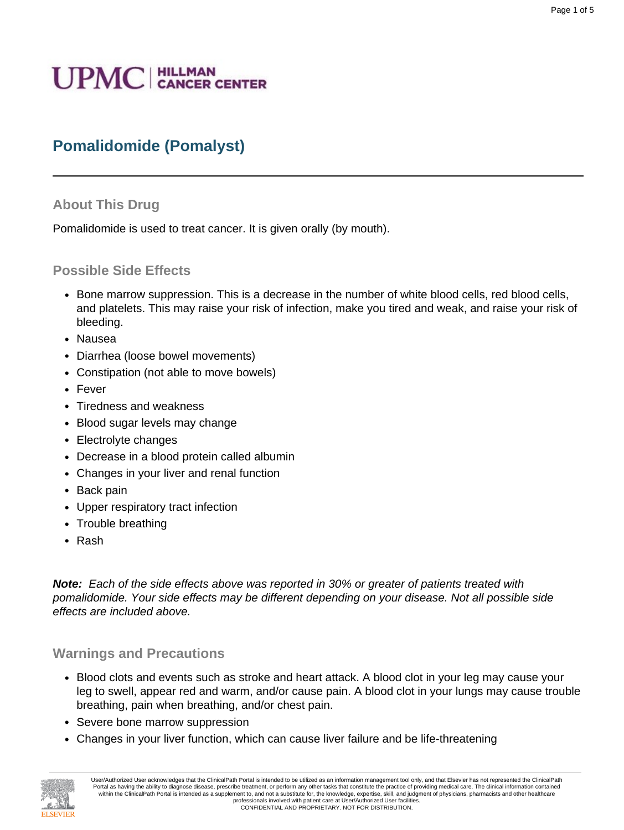# **UPMC** | HILLMAN

## **Pomalidomide (Pomalyst)**

#### **About This Drug**

Pomalidomide is used to treat cancer. It is given orally (by mouth).

#### **Possible Side Effects**

- Bone marrow suppression. This is a decrease in the number of white blood cells, red blood cells, and platelets. This may raise your risk of infection, make you tired and weak, and raise your risk of bleeding.
- Nausea
- Diarrhea (loose bowel movements)
- Constipation (not able to move bowels)
- Fever
- Tiredness and weakness
- Blood sugar levels may change
- Electrolyte changes
- Decrease in a blood protein called albumin
- Changes in your liver and renal function
- Back pain
- Upper respiratory tract infection
- Trouble breathing
- Rash

**Note:** Each of the side effects above was reported in 30% or greater of patients treated with pomalidomide. Your side effects may be different depending on your disease. Not all possible side effects are included above.

#### **Warnings and Precautions**

- Blood clots and events such as stroke and heart attack. A blood clot in your leg may cause your leg to swell, appear red and warm, and/or cause pain. A blood clot in your lungs may cause trouble breathing, pain when breathing, and/or chest pain.
- Severe bone marrow suppression
- Changes in your liver function, which can cause liver failure and be life-threatening



User/Authorized User acknowledges that the ClinicalPath Portal is intended to be utilized as an information management tool only, and that Elsevier has not represented the ClinicalPath Portal as having the ability to diagnose disease, prescribe treatment, or perform any other tasks that constitute the practice of providing medical care. The clinical information contained within the ClinicalPath Portal is intended as a supplement to, and not a substitute for, the knowledge, expertise, skill, and judgment of physicians, pharmacists and other healthcare professionals involved with patient care at User/Authorized User facilities. CONFIDENTIAL AND PROPRIETARY. NOT FOR DISTRIBUTION.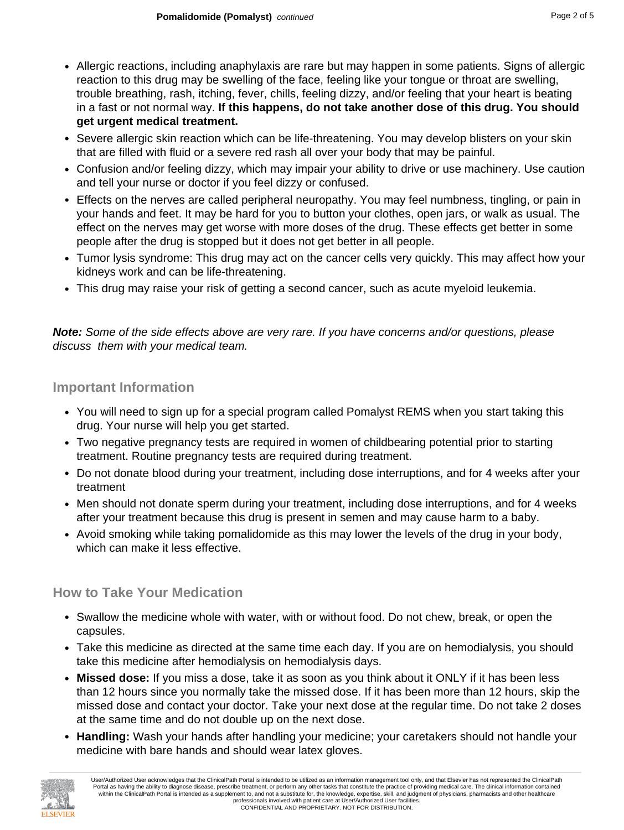- Allergic reactions, including anaphylaxis are rare but may happen in some patients. Signs of allergic reaction to this drug may be swelling of the face, feeling like your tongue or throat are swelling, trouble breathing, rash, itching, fever, chills, feeling dizzy, and/or feeling that your heart is beating in a fast or not normal way. **If this happens, do not take another dose of this drug. You should get urgent medical treatment.**
- Severe allergic skin reaction which can be life-threatening. You may develop blisters on your skin that are filled with fluid or a severe red rash all over your body that may be painful.
- Confusion and/or feeling dizzy, which may impair your ability to drive or use machinery. Use caution and tell your nurse or doctor if you feel dizzy or confused.
- Effects on the nerves are called peripheral neuropathy. You may feel numbness, tingling, or pain in your hands and feet. It may be hard for you to button your clothes, open jars, or walk as usual. The effect on the nerves may get worse with more doses of the drug. These effects get better in some people after the drug is stopped but it does not get better in all people.
- Tumor lysis syndrome: This drug may act on the cancer cells very quickly. This may affect how your kidneys work and can be life-threatening.
- This drug may raise your risk of getting a second cancer, such as acute myeloid leukemia.

**Note:** Some of the side effects above are very rare. If you have concerns and/or questions, please discuss them with your medical team.

#### **Important Information**

- You will need to sign up for a special program called Pomalyst REMS when you start taking this drug. Your nurse will help you get started.
- Two negative pregnancy tests are required in women of childbearing potential prior to starting treatment. Routine pregnancy tests are required during treatment.
- Do not donate blood during your treatment, including dose interruptions, and for 4 weeks after your treatment
- Men should not donate sperm during your treatment, including dose interruptions, and for 4 weeks after your treatment because this drug is present in semen and may cause harm to a baby.
- Avoid smoking while taking pomalidomide as this may lower the levels of the drug in your body, which can make it less effective.

#### **How to Take Your Medication**

- Swallow the medicine whole with water, with or without food. Do not chew, break, or open the capsules.
- Take this medicine as directed at the same time each day. If you are on hemodialysis, you should take this medicine after hemodialysis on hemodialysis days.
- **Missed dose:** If you miss a dose, take it as soon as you think about it ONLY if it has been less than 12 hours since you normally take the missed dose. If it has been more than 12 hours, skip the missed dose and contact your doctor. Take your next dose at the regular time. Do not take 2 doses at the same time and do not double up on the next dose.
- **Handling:** Wash your hands after handling your medicine; your caretakers should not handle your medicine with bare hands and should wear latex gloves.

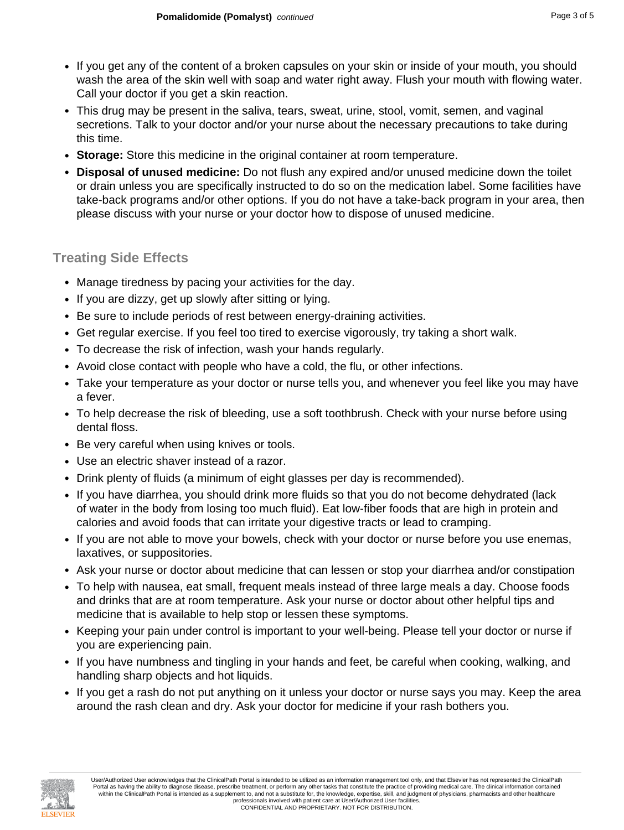- If you get any of the content of a broken capsules on your skin or inside of your mouth, you should wash the area of the skin well with soap and water right away. Flush your mouth with flowing water. Call your doctor if you get a skin reaction.
- This drug may be present in the saliva, tears, sweat, urine, stool, vomit, semen, and vaginal secretions. Talk to your doctor and/or your nurse about the necessary precautions to take during this time.
- **Storage:** Store this medicine in the original container at room temperature.
- **Disposal of unused medicine:** Do not flush any expired and/or unused medicine down the toilet or drain unless you are specifically instructed to do so on the medication label. Some facilities have take-back programs and/or other options. If you do not have a take-back program in your area, then please discuss with your nurse or your doctor how to dispose of unused medicine.

#### **Treating Side Effects**

- Manage tiredness by pacing your activities for the day.
- If you are dizzy, get up slowly after sitting or lying.
- Be sure to include periods of rest between energy-draining activities.
- Get regular exercise. If you feel too tired to exercise vigorously, try taking a short walk.
- To decrease the risk of infection, wash your hands regularly.
- Avoid close contact with people who have a cold, the flu, or other infections.
- Take your temperature as your doctor or nurse tells you, and whenever you feel like you may have a fever.
- To help decrease the risk of bleeding, use a soft toothbrush. Check with your nurse before using dental floss.
- Be very careful when using knives or tools.
- Use an electric shaver instead of a razor.
- Drink plenty of fluids (a minimum of eight glasses per day is recommended).
- If you have diarrhea, you should drink more fluids so that you do not become dehydrated (lack of water in the body from losing too much fluid). Eat low-fiber foods that are high in protein and calories and avoid foods that can irritate your digestive tracts or lead to cramping.
- If you are not able to move your bowels, check with your doctor or nurse before you use enemas, laxatives, or suppositories.
- Ask your nurse or doctor about medicine that can lessen or stop your diarrhea and/or constipation
- To help with nausea, eat small, frequent meals instead of three large meals a day. Choose foods and drinks that are at room temperature. Ask your nurse or doctor about other helpful tips and medicine that is available to help stop or lessen these symptoms.
- Keeping your pain under control is important to your well-being. Please tell your doctor or nurse if you are experiencing pain.
- If you have numbness and tingling in your hands and feet, be careful when cooking, walking, and handling sharp objects and hot liquids.
- If you get a rash do not put anything on it unless your doctor or nurse says you may. Keep the area around the rash clean and dry. Ask your doctor for medicine if your rash bothers you.

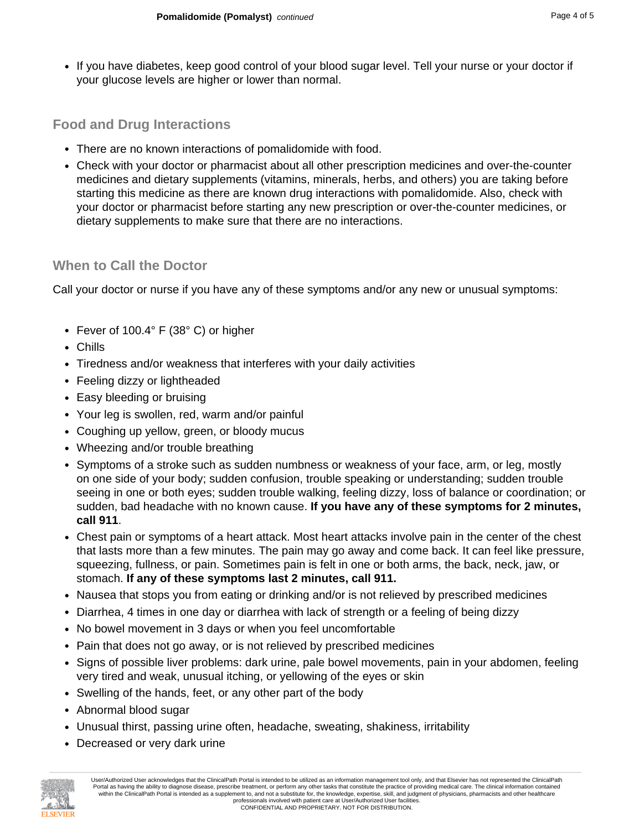- 
- If you have diabetes, keep good control of your blood sugar level. Tell your nurse or your doctor if your glucose levels are higher or lower than normal.

#### **Food and Drug Interactions**

- There are no known interactions of pomalidomide with food.
- Check with your doctor or pharmacist about all other prescription medicines and over-the-counter medicines and dietary supplements (vitamins, minerals, herbs, and others) you are taking before starting this medicine as there are known drug interactions with pomalidomide. Also, check with your doctor or pharmacist before starting any new prescription or over-the-counter medicines, or dietary supplements to make sure that there are no interactions.

#### **When to Call the Doctor**

Call your doctor or nurse if you have any of these symptoms and/or any new or unusual symptoms:

- Fever of 100.4° F (38° C) or higher
- Chills
- Tiredness and/or weakness that interferes with your daily activities
- Feeling dizzy or lightheaded
- Easy bleeding or bruising
- Your leg is swollen, red, warm and/or painful
- Coughing up yellow, green, or bloody mucus
- Wheezing and/or trouble breathing
- Symptoms of a stroke such as sudden numbness or weakness of your face, arm, or leg, mostly on one side of your body; sudden confusion, trouble speaking or understanding; sudden trouble seeing in one or both eyes; sudden trouble walking, feeling dizzy, loss of balance or coordination; or sudden, bad headache with no known cause. **If you have any of these symptoms for 2 minutes, call 911**.
- Chest pain or symptoms of a heart attack. Most heart attacks involve pain in the center of the chest that lasts more than a few minutes. The pain may go away and come back. It can feel like pressure, squeezing, fullness, or pain. Sometimes pain is felt in one or both arms, the back, neck, jaw, or stomach. **If any of these symptoms last 2 minutes, call 911.**
- Nausea that stops you from eating or drinking and/or is not relieved by prescribed medicines
- Diarrhea, 4 times in one day or diarrhea with lack of strength or a feeling of being dizzy
- No bowel movement in 3 days or when you feel uncomfortable
- Pain that does not go away, or is not relieved by prescribed medicines
- Signs of possible liver problems: dark urine, pale bowel movements, pain in your abdomen, feeling very tired and weak, unusual itching, or yellowing of the eyes or skin
- Swelling of the hands, feet, or any other part of the body
- Abnormal blood sugar
- Unusual thirst, passing urine often, headache, sweating, shakiness, irritability
- Decreased or very dark urine



User/Authorized User acknowledges that the ClinicalPath Portal is intended to be utilized as an information management tool only, and that Elsevier has not represented the ClinicalPath Portal as having the ability to diagnose disease, prescribe treatment, or perform any other tasks that constitute the practice of providing medical care. The clinical information contained within the ClinicalPath Portal is intended as a supplement to, and not a substitute for, the knowledge, expertise, skill, and judgment of physicians, pharmacists and other healthcare professionals involved with patient care at User/Authorized User facilities. CONFIDENTIAL AND PROPRIETARY. NOT FOR DISTRIBUTION.